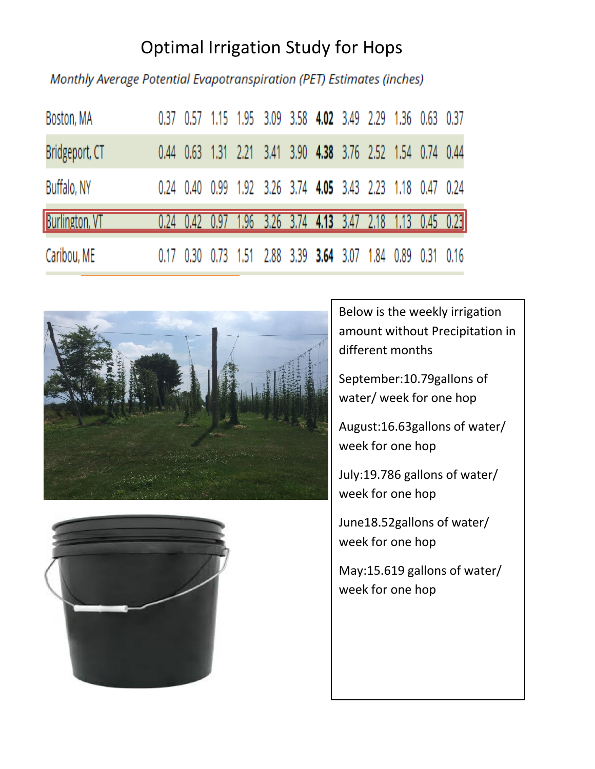## Optimal Irrigation Study for Hops

Monthly Average Potential Evapotranspiration (PET) Estimates (inches)

| Boston, MA            |  | 0.37 0.57 1.15 1.95 3.09 3.58 4.02 3.49 2.29 1.36 0.63 0.37 |  |  |  |  |
|-----------------------|--|-------------------------------------------------------------|--|--|--|--|
| Bridgeport, CT        |  | 0.44 0.63 1.31 2.21 3.41 3.90 4.38 3.76 2.52 1.54 0.74 0.44 |  |  |  |  |
| Buffalo, NY           |  | 0.24 0.40 0.99 1.92 3.26 3.74 4.05 3.43 2.23 1.18 0.47 0.24 |  |  |  |  |
| <b>Burlington, VT</b> |  | 0.24 0.42 0.97 1.96 3.26 3.74 4.13 3.47 2.18 1.13 0.45 0.23 |  |  |  |  |
| Caribou, ME           |  | 0.17 0.30 0.73 1.51 2.88 3.39 3.64 3.07 1.84 0.89 0.31 0.16 |  |  |  |  |





Below is the weekly irrigation amount without Precipitation in different months

September:10.79gallons of water/ week for one hop

August:16.63gallons of water/ week for one hop

July:19.786 gallons of water/ week for one hop

June18.52gallons of water/ week for one hop

May:15.619 gallons of water/ week for one hop